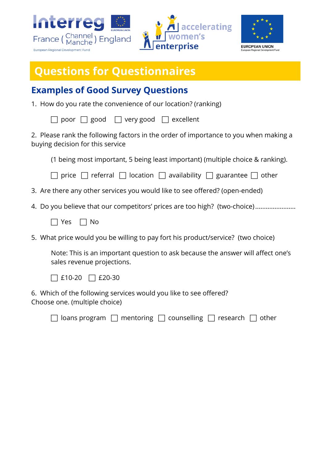





## **Questions for Questionnaires**

## **Examples of Good Survey Questions**

1. How do you rate the convenience of our location? (ranking)

|  | $\Box$ poor $\Box$ good $\Box$ very good $\Box$ excellent |  |
|--|-----------------------------------------------------------|--|
|  |                                                           |  |

2. Please rank the following factors in the order of importance to you when making a buying decision for this service

(1 being most important, 5 being least important) (multiple choice & ranking).

 $\Box$  price  $\Box$  referral  $\Box$  location  $\Box$  availability  $\Box$  guarantee  $\Box$  other

- 3. Are there any other services you would like to see offered? (open-ended)
- 4. Do you believe that our competitors' prices are too high? (two-choice).........................
	- $\Box$  Yes  $\Box$  No
- 5. What price would you be willing to pay fort his product/service? (two choice)

Note: This is an important question to ask because the answer will affect one's sales revenue projections.



6. Which of the following services would you like to see offered? Choose one. (multiple choice)

| $\Box$ loans program $\Box$ mentoring $\Box$ counselling $\Box$ research $\Box$ other |  |  |  |  |
|---------------------------------------------------------------------------------------|--|--|--|--|
|---------------------------------------------------------------------------------------|--|--|--|--|